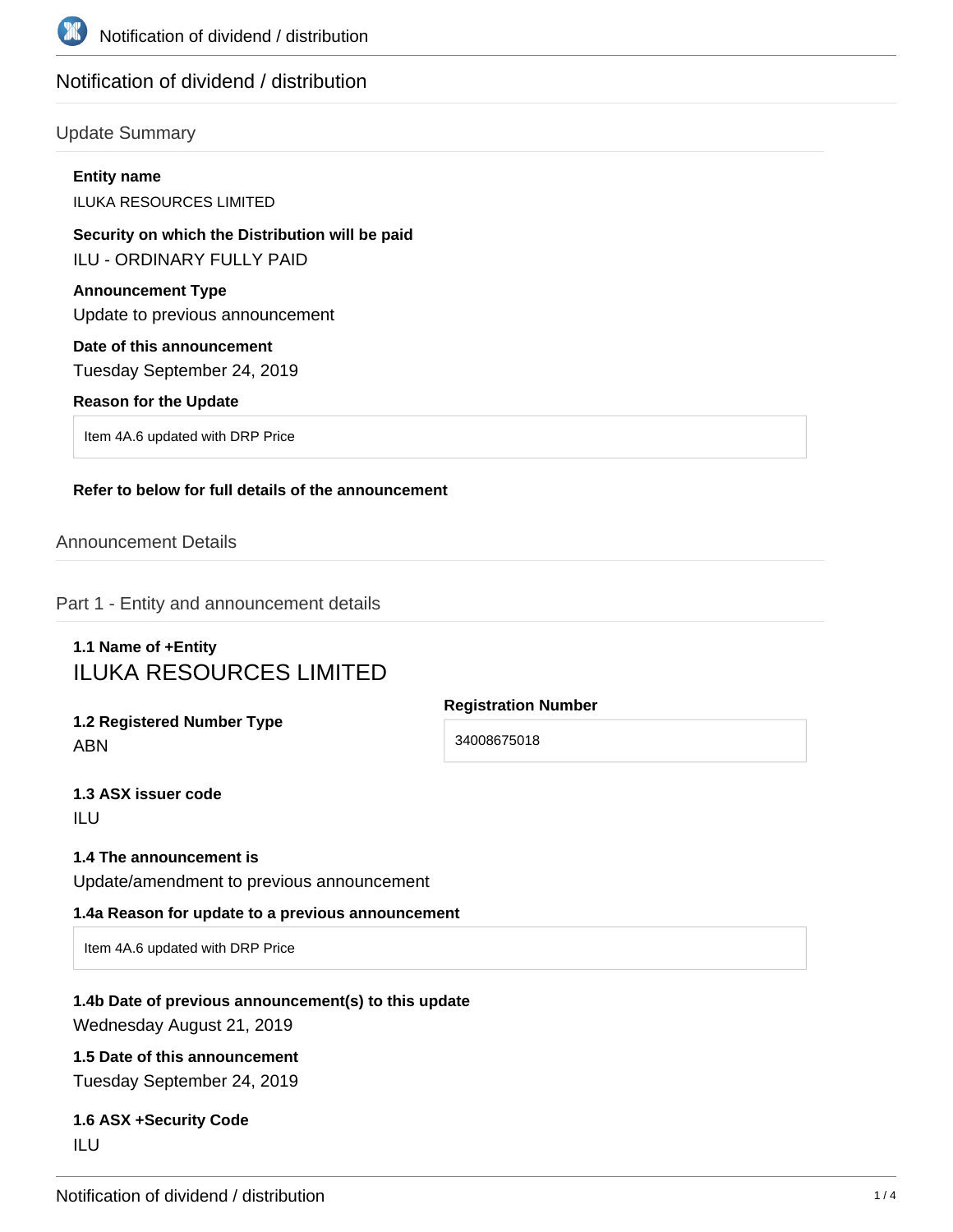

# Notification of dividend / distribution

### Update Summary

# **Entity name** ILUKA RESOURCES LIMITED **Security on which the Distribution will be paid** ILU - ORDINARY FULLY PAID **Announcement Type** Update to previous announcement **Date of this announcement** Tuesday September 24, 2019 **Reason for the Update** Item 4A.6 updated with DRP Price **Refer to below for full details of the announcement**

### Announcement Details

Part 1 - Entity and announcement details

# **1.1 Name of +Entity** ILUKA RESOURCES LIMITED

**1.2 Registered Number Type** ABN

**Registration Number**

34008675018

**1.3 ASX issuer code** ILU

#### **1.4 The announcement is**

Update/amendment to previous announcement

#### **1.4a Reason for update to a previous announcement**

Item 4A.6 updated with DRP Price

## **1.4b Date of previous announcement(s) to this update** Wednesday August 21, 2019

# **1.5 Date of this announcement**

Tuesday September 24, 2019

### **1.6 ASX +Security Code** ILU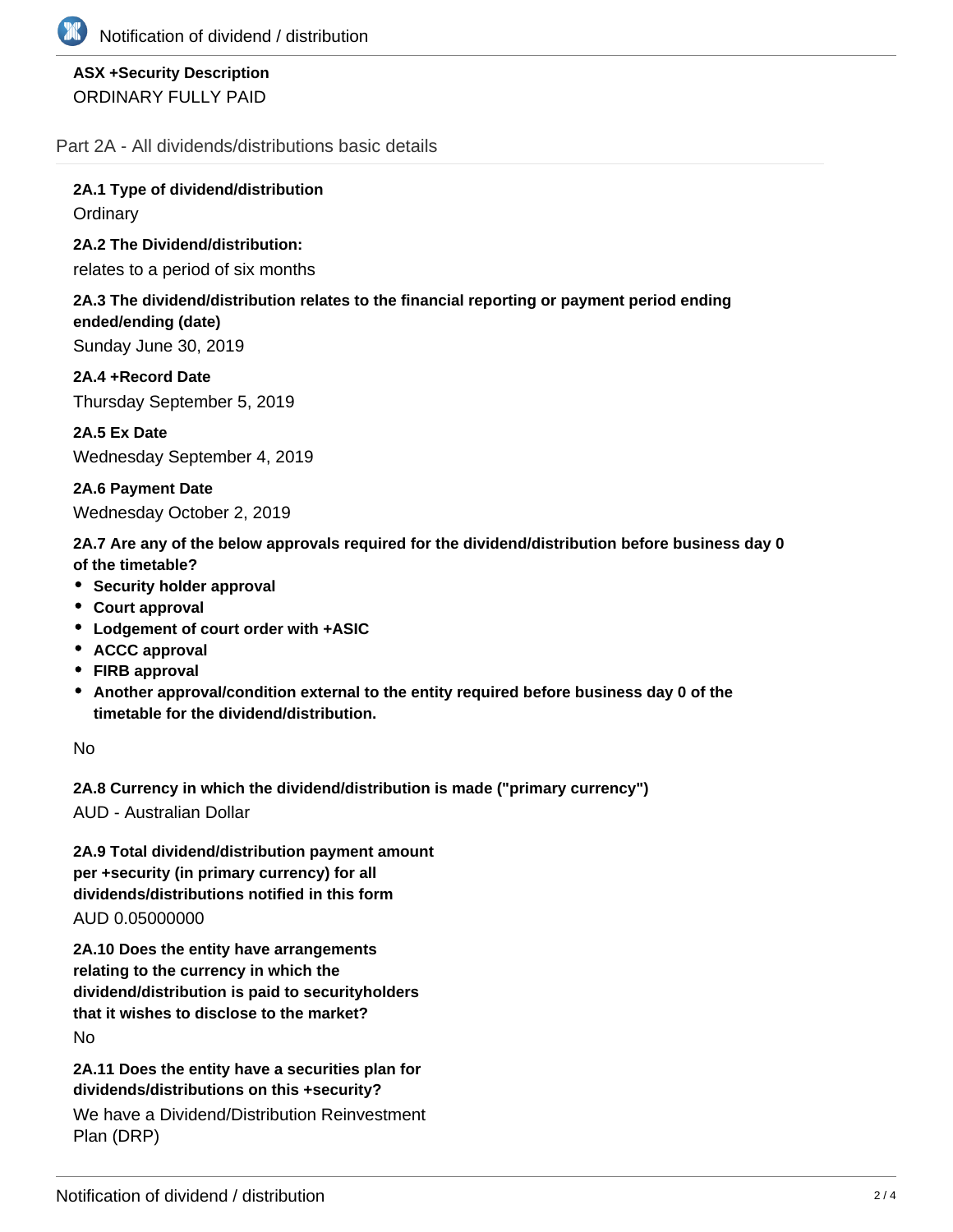# **ASX +Security Description** ORDINARY FULLY PAID

Part 2A - All dividends/distributions basic details

**2A.1 Type of dividend/distribution Ordinary** 

**2A.2 The Dividend/distribution:**

relates to a period of six months

### **2A.3 The dividend/distribution relates to the financial reporting or payment period ending ended/ending (date)**

Sunday June 30, 2019

**2A.4 +Record Date** Thursday September 5, 2019

**2A.5 Ex Date** Wednesday September 4, 2019

**2A.6 Payment Date** Wednesday October 2, 2019

**2A.7 Are any of the below approvals required for the dividend/distribution before business day 0 of the timetable?**

- **•** Security holder approval
- **Court approval**
- **Lodgement of court order with +ASIC**
- **ACCC approval**
- **FIRB approval**
- **Another approval/condition external to the entity required before business day 0 of the timetable for the dividend/distribution.**

No

**2A.8 Currency in which the dividend/distribution is made ("primary currency")**

AUD - Australian Dollar

**2A.9 Total dividend/distribution payment amount per +security (in primary currency) for all dividends/distributions notified in this form** AUD 0.05000000

**2A.10 Does the entity have arrangements relating to the currency in which the dividend/distribution is paid to securityholders that it wishes to disclose to the market?** No

**2A.11 Does the entity have a securities plan for dividends/distributions on this +security?**

We have a Dividend/Distribution Reinvestment Plan (DRP)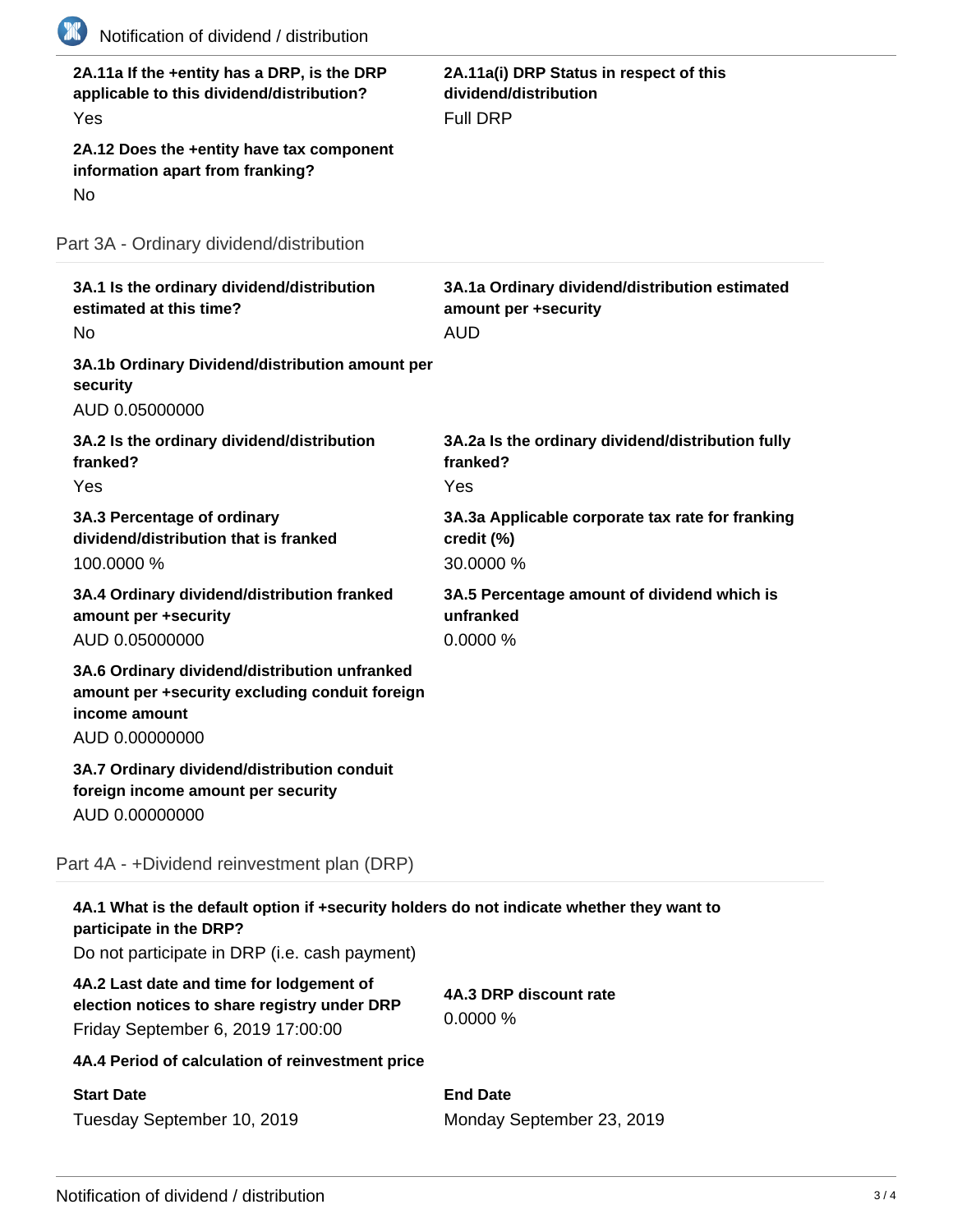| 2A.11a If the +entity has a DRP, is the DRP<br>applicable to this dividend/distribution?<br>Yes<br>2A.12 Does the +entity have tax component<br>information apart from franking?<br>No | 2A.11a(i) DRP Status in respect of this<br>dividend/distribution<br><b>Full DRP</b>  |
|----------------------------------------------------------------------------------------------------------------------------------------------------------------------------------------|--------------------------------------------------------------------------------------|
| Part 3A - Ordinary dividend/distribution                                                                                                                                               |                                                                                      |
| 3A.1 Is the ordinary dividend/distribution<br>estimated at this time?<br><b>No</b>                                                                                                     | 3A.1a Ordinary dividend/distribution estimated<br>amount per +security<br><b>AUD</b> |
| 3A.1b Ordinary Dividend/distribution amount per<br>security<br>AUD 0.05000000                                                                                                          |                                                                                      |
| 3A.2 Is the ordinary dividend/distribution<br>franked?<br>Yes                                                                                                                          | 3A.2a Is the ordinary dividend/distribution fully<br>franked?<br>Yes                 |
| 3A.3 Percentage of ordinary<br>dividend/distribution that is franked<br>100.0000 %                                                                                                     | 3A.3a Applicable corporate tax rate for franking<br>credit (%)<br>30.0000 %          |
| 3A.4 Ordinary dividend/distribution franked<br>amount per +security<br>AUD 0.05000000                                                                                                  | 3A.5 Percentage amount of dividend which is<br>unfranked<br>0.0000%                  |
| 3A.6 Ordinary dividend/distribution unfranked<br>amount per +security excluding conduit foreign<br>income amount<br>AUD 0.00000000                                                     |                                                                                      |
| 3A.7 Ordinary dividend/distribution conduit<br>foreign income amount per security<br>AUD 0.00000000                                                                                    |                                                                                      |
| Part 4A - +Dividend reinvestment plan (DRP)                                                                                                                                            |                                                                                      |
| 4A.1 What is the default option if +security holders do not indicate whether they want to<br>participate in the DRP?<br>Do not participate in DRP (i.e. cash payment)                  |                                                                                      |
| 4A.2 Last date and time for lodgement of<br>election notices to share registry under DRP<br>Friday September 6, 2019 17:00:00                                                          | 4A.3 DRP discount rate<br>0.0000%                                                    |
| 4A.4 Period of calculation of reinvestment price                                                                                                                                       |                                                                                      |
| <b>Start Date</b><br>Tuesday September 10, 2019                                                                                                                                        | <b>End Date</b><br>Monday September 23, 2019                                         |